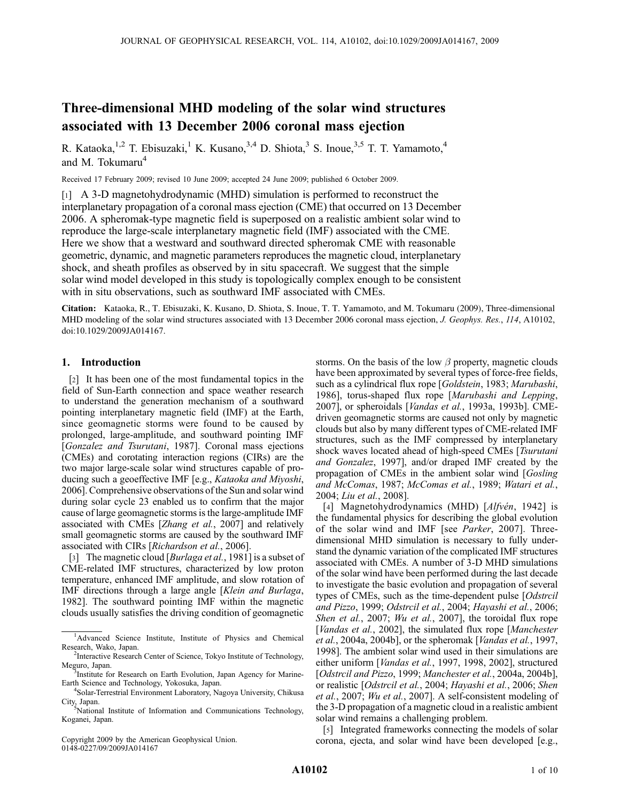# Three-dimensional MHD modeling of the solar wind structures associated with 13 December 2006 coronal mass ejection

R. Kataoka,<sup>1,2</sup> T. Ebisuzaki,<sup>1</sup> K. Kusano,<sup>3,4</sup> D. Shiota,<sup>3</sup> S. Inoue,<sup>3,5</sup> T. T. Yamamoto,<sup>4</sup> and M. Tokumaru<sup>4</sup>

Received 17 February 2009; revised 10 June 2009; accepted 24 June 2009; published 6 October 2009.

[1] A 3-D magnetohydrodynamic (MHD) simulation is performed to reconstruct the interplanetary propagation of a coronal mass ejection (CME) that occurred on 13 December 2006. A spheromak-type magnetic field is superposed on a realistic ambient solar wind to reproduce the large-scale interplanetary magnetic field (IMF) associated with the CME. Here we show that a westward and southward directed spheromak CME with reasonable geometric, dynamic, and magnetic parameters reproduces the magnetic cloud, interplanetary shock, and sheath profiles as observed by in situ spacecraft. We suggest that the simple solar wind model developed in this study is topologically complex enough to be consistent with in situ observations, such as southward IMF associated with CMEs.

Citation: Kataoka, R., T. Ebisuzaki, K. Kusano, D. Shiota, S. Inoue, T. T. Yamamoto, and M. Tokumaru (2009), Three-dimensional MHD modeling of the solar wind structures associated with 13 December 2006 coronal mass ejection, J. Geophys. Res., 114, A10102, doi:10.1029/2009JA014167.

# 1. Introduction

[2] It has been one of the most fundamental topics in the field of Sun-Earth connection and space weather research to understand the generation mechanism of a southward pointing interplanetary magnetic field (IMF) at the Earth, since geomagnetic storms were found to be caused by prolonged, large-amplitude, and southward pointing IMF [Gonzalez and Tsurutani, 1987]. Coronal mass ejections (CMEs) and corotating interaction regions (CIRs) are the two major large-scale solar wind structures capable of producing such a geoeffective IMF [e.g., Kataoka and Miyoshi, 2006]. Comprehensive observations of the Sun and solar wind during solar cycle 23 enabled us to confirm that the major cause of large geomagnetic storms is the large-amplitude IMF associated with CMEs [Zhang et al., 2007] and relatively small geomagnetic storms are caused by the southward IMF associated with CIRs [Richardson et al., 2006].

[3] The magnetic cloud [*Burlaga et al.*, 1981] is a subset of CME-related IMF structures, characterized by low proton temperature, enhanced IMF amplitude, and slow rotation of IMF directions through a large angle [Klein and Burlaga, 1982]. The southward pointing IMF within the magnetic clouds usually satisfies the driving condition of geomagnetic

Copyright 2009 by the American Geophysical Union. 0148-0227/09/2009JA014167

storms. On the basis of the low  $\beta$  property, magnetic clouds have been approximated by several types of force-free fields, such as a cylindrical flux rope [Goldstein, 1983; Marubashi, 1986], torus-shaped flux rope [Marubashi and Lepping, 2007], or spheroidals [Vandas et al., 1993a, 1993b]. CMEdriven geomagnetic storms are caused not only by magnetic clouds but also by many different types of CME-related IMF structures, such as the IMF compressed by interplanetary shock waves located ahead of high-speed CMEs [Tsurutani and Gonzalez, 1997], and/or draped IMF created by the propagation of CMEs in the ambient solar wind [Gosling and McComas, 1987; McComas et al., 1989; Watari et al., 2004; Liu et al., 2008].

[4] Magnetohydrodynamics (MHD)  $[Alfv\acute{e}n, 1942]$  is the fundamental physics for describing the global evolution of the solar wind and IMF [see Parker, 2007]. Threedimensional MHD simulation is necessary to fully understand the dynamic variation of the complicated IMF structures associated with CMEs. A number of 3-D MHD simulations of the solar wind have been performed during the last decade to investigate the basic evolution and propagation of several types of CMEs, such as the time-dependent pulse [Odstrcil and Pizzo, 1999; Odstrcil et al., 2004; Hayashi et al., 2006; Shen et al., 2007; Wu et al., 2007], the toroidal flux rope [Vandas et al., 2002], the simulated flux rope [Manchester] et al., 2004a, 2004b], or the spheromak [Vandas et al., 1997, 1998]. The ambient solar wind used in their simulations are either uniform [*Vandas et al.*, 1997, 1998, 2002], structured [Odstrcil and Pizzo, 1999; Manchester et al., 2004a, 2004b], or realistic [Odstrcil et al., 2004; Hayashi et al., 2006; Shen et al., 2007; Wu et al., 2007]. A self-consistent modeling of the 3-D propagation of a magnetic cloud in a realistic ambient solar wind remains a challenging problem.

[5] Integrated frameworks connecting the models of solar corona, ejecta, and solar wind have been developed [e.g.,

<sup>&</sup>lt;sup>1</sup>Advanced Science Institute, Institute of Physics and Chemical Research, Wako, Japan. <sup>2</sup>

<sup>&</sup>lt;sup>2</sup>Interactive Research Center of Science, Tokyo Institute of Technology, Meguro, Japan.

<sup>&</sup>lt;sup>3</sup>Institute for Research on Earth Evolution, Japan Agency for Marine-Earth Science and Technology, Yokosuka, Japan. <sup>4</sup>

<sup>&</sup>lt;sup>4</sup>Solar-Terrestrial Environment Laboratory, Nagoya University, Chikusa

City, Japan. <sup>5</sup> National Institute of Information and Communications Technology, Koganei, Japan.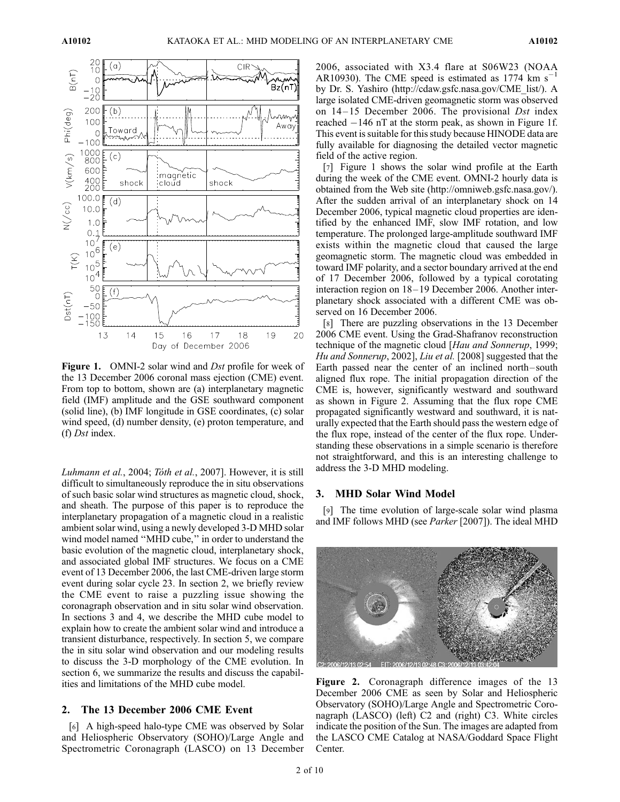

Figure 1. OMNI-2 solar wind and *Dst* profile for week of the 13 December 2006 coronal mass ejection (CME) event. From top to bottom, shown are (a) interplanetary magnetic field (IMF) amplitude and the GSE southward component (solid line), (b) IMF longitude in GSE coordinates, (c) solar wind speed, (d) number density, (e) proton temperature, and (f) Dst index.

Luhmann et al., 2004; Tóth et al., 2007]. However, it is still difficult to simultaneously reproduce the in situ observations of such basic solar wind structures as magnetic cloud, shock, and sheath. The purpose of this paper is to reproduce the interplanetary propagation of a magnetic cloud in a realistic ambient solar wind, using a newly developed 3-D MHD solar wind model named ''MHD cube,'' in order to understand the basic evolution of the magnetic cloud, interplanetary shock, and associated global IMF structures. We focus on a CME event of 13 December 2006, the last CME-driven large storm event during solar cycle 23. In section 2, we briefly review the CME event to raise a puzzling issue showing the coronagraph observation and in situ solar wind observation. In sections 3 and 4, we describe the MHD cube model to explain how to create the ambient solar wind and introduce a transient disturbance, respectively. In section 5, we compare the in situ solar wind observation and our modeling results to discuss the 3-D morphology of the CME evolution. In section 6, we summarize the results and discuss the capabilities and limitations of the MHD cube model.

# 2. The 13 December 2006 CME Event

[6] A high-speed halo-type CME was observed by Solar and Heliospheric Observatory (SOHO)/Large Angle and Spectrometric Coronagraph (LASCO) on 13 December

2006, associated with X3.4 flare at S06W23 (NOAA AR10930). The CME speed is estimated as 1774  $\text{km s}^{-1}$ by Dr. S. Yashiro (http://cdaw.gsfc.nasa.gov/CME\_list/). A large isolated CME-driven geomagnetic storm was observed on  $14-15$  December 2006. The provisional *Dst* index reached -146 nT at the storm peak, as shown in Figure 1f. This event is suitable for this study because HINODE data are fully available for diagnosing the detailed vector magnetic field of the active region.

[7] Figure 1 shows the solar wind profile at the Earth during the week of the CME event. OMNI-2 hourly data is obtained from the Web site (http://omniweb.gsfc.nasa.gov/). After the sudden arrival of an interplanetary shock on 14 December 2006, typical magnetic cloud properties are identified by the enhanced IMF, slow IMF rotation, and low temperature. The prolonged large-amplitude southward IMF exists within the magnetic cloud that caused the large geomagnetic storm. The magnetic cloud was embedded in toward IMF polarity, and a sector boundary arrived at the end of 17 December 2006, followed by a typical corotating interaction region on 18–19 December 2006. Another interplanetary shock associated with a different CME was observed on 16 December 2006.

[8] There are puzzling observations in the 13 December 2006 CME event. Using the Grad-Shafranov reconstruction technique of the magnetic cloud [Hau and Sonnerup, 1999; Hu and Sonnerup, 2002], Liu et al. [2008] suggested that the Earth passed near the center of an inclined north – south aligned flux rope. The initial propagation direction of the CME is, however, significantly westward and southward as shown in Figure 2. Assuming that the flux rope CME propagated significantly westward and southward, it is naturally expected that the Earth should pass the western edge of the flux rope, instead of the center of the flux rope. Understanding these observations in a simple scenario is therefore not straightforward, and this is an interesting challenge to address the 3-D MHD modeling.

#### 3. MHD Solar Wind Model

[9] The time evolution of large-scale solar wind plasma and IMF follows MHD (see Parker [2007]). The ideal MHD



Figure 2. Coronagraph difference images of the 13 December 2006 CME as seen by Solar and Heliospheric Observatory (SOHO)/Large Angle and Spectrometric Coronagraph (LASCO) (left) C2 and (right) C3. White circles indicate the position of the Sun. The images are adapted from the LASCO CME Catalog at NASA/Goddard Space Flight Center.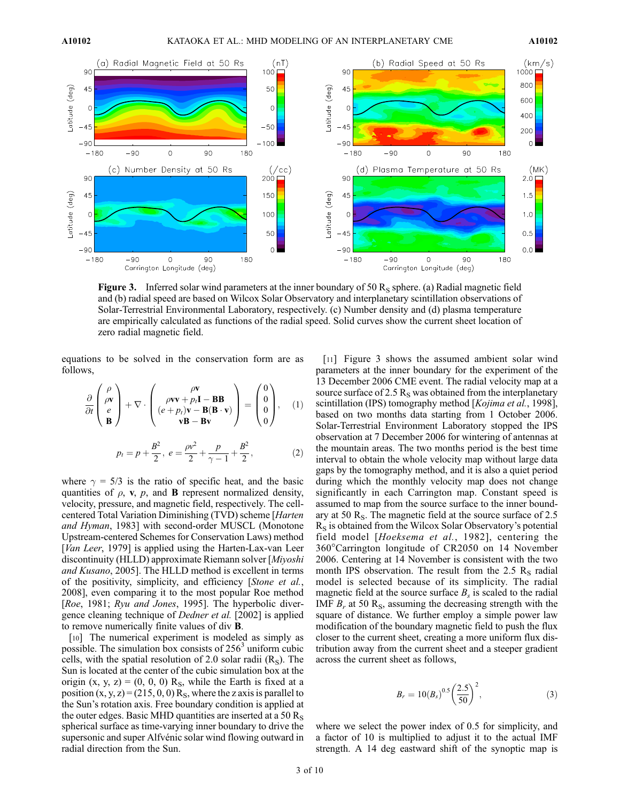

**Figure 3.** Inferred solar wind parameters at the inner boundary of 50  $R_s$  sphere. (a) Radial magnetic field and (b) radial speed are based on Wilcox Solar Observatory and interplanetary scintillation observations of Solar-Terrestrial Environmental Laboratory, respectively. (c) Number density and (d) plasma temperature are empirically calculated as functions of the radial speed. Solid curves show the current sheet location of zero radial magnetic field.

equations to be solved in the conservation form are as follows,

$$
\frac{\partial}{\partial t} \begin{pmatrix} \rho \\ \rho v \\ e \\ B \end{pmatrix} + \nabla \cdot \begin{pmatrix} \rho v \\ \rho v v + p_l \mathbf{I} - \mathbf{B} \mathbf{B} \\ (e + p_l) v - \mathbf{B} (\mathbf{B} \cdot \mathbf{v}) \\ v \mathbf{B} - \mathbf{B} v \end{pmatrix} = \begin{pmatrix} 0 \\ 0 \\ 0 \\ 0 \end{pmatrix}, \quad (1)
$$

$$
p_t = p + \frac{B^2}{2}, \ e = \frac{\rho v^2}{2} + \frac{p}{\gamma - 1} + \frac{B^2}{2}, \quad (2)
$$

where  $\gamma = 5/3$  is the ratio of specific heat, and the basic quantities of  $\rho$ , v,  $p$ , and **B** represent normalized density, velocity, pressure, and magnetic field, respectively. The cellcentered Total Variation Diminishing (TVD) scheme [Harten and Hyman, 1983] with second-order MUSCL (Monotone Upstream-centered Schemes for Conservation Laws) method [Van Leer, 1979] is applied using the Harten-Lax-van Leer discontinuity (HLLD) approximate Riemann solver [Miyoshi and Kusano, 2005]. The HLLD method is excellent in terms of the positivity, simplicity, and efficiency [Stone et al., 2008], even comparing it to the most popular Roe method [Roe, 1981; Ryu and Jones, 1995]. The hyperbolic divergence cleaning technique of Dedner et al. [2002] is applied to remove numerically finite values of div B.

[10] The numerical experiment is modeled as simply as possible. The simulation box consists of  $256<sup>3</sup>$  uniform cubic cells, with the spatial resolution of 2.0 solar radii  $(R<sub>S</sub>)$ . The Sun is located at the center of the cubic simulation box at the origin  $(x, y, z) = (0, 0, 0)$  R<sub>S</sub>, while the Earth is fixed at a position  $(x, y, z) = (215, 0, 0)$  R<sub>S</sub>, where the z axis is parallel to the Sun's rotation axis. Free boundary condition is applied at the outer edges. Basic MHD quantities are inserted at a 50  $R_s$ spherical surface as time-varying inner boundary to drive the supersonic and super Alfvénic solar wind flowing outward in radial direction from the Sun.

[11] Figure 3 shows the assumed ambient solar wind parameters at the inner boundary for the experiment of the 13 December 2006 CME event. The radial velocity map at a source surface of 2.5  $R<sub>S</sub>$  was obtained from the interplanetary scintillation (IPS) tomography method [*Kojima et al.*, 1998], based on two months data starting from 1 October 2006. Solar-Terrestrial Environment Laboratory stopped the IPS observation at 7 December 2006 for wintering of antennas at the mountain areas. The two months period is the best time interval to obtain the whole velocity map without large data gaps by the tomography method, and it is also a quiet period during which the monthly velocity map does not change significantly in each Carrington map. Constant speed is assumed to map from the source surface to the inner boundary at 50  $R_s$ . The magnetic field at the source surface of 2.5  $R<sub>S</sub>$  is obtained from the Wilcox Solar Observatory's potential field model [Hoeksema et al., 1982], centering the 360°Carrington longitude of CR2050 on 14 November 2006. Centering at 14 November is consistent with the two month IPS observation. The result from the 2.5  $R_s$  radial model is selected because of its simplicity. The radial magnetic field at the source surface  $B_s$  is scaled to the radial IMF  $B_r$  at 50 R<sub>S</sub>, assuming the decreasing strength with the square of distance. We further employ a simple power law modification of the boundary magnetic field to push the flux closer to the current sheet, creating a more uniform flux distribution away from the current sheet and a steeper gradient across the current sheet as follows,

$$
B_r = 10(B_s)^{0.5} \left(\frac{2.5}{50}\right)^2,\tag{3}
$$

where we select the power index of 0.5 for simplicity, and a factor of 10 is multiplied to adjust it to the actual IMF strength. A 14 deg eastward shift of the synoptic map is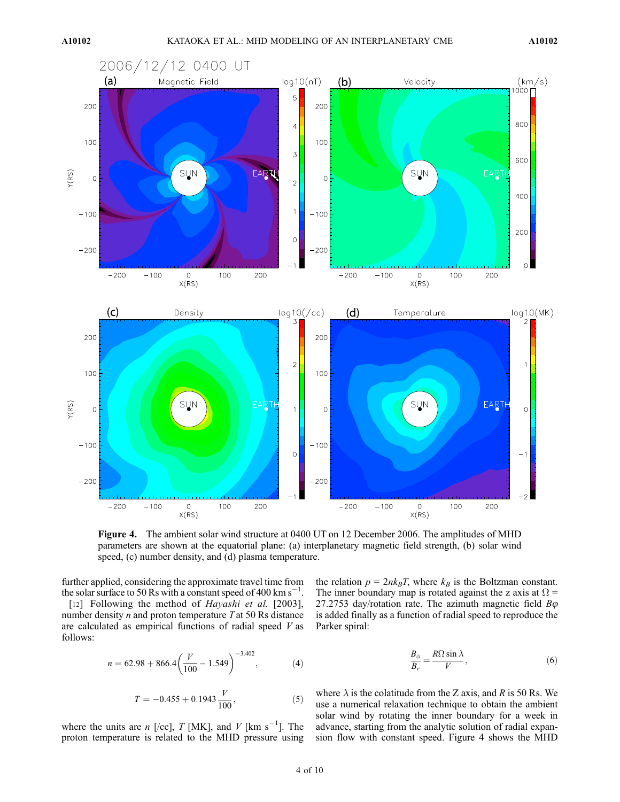

Figure 4. The ambient solar wind structure at 0400 UT on 12 December 2006. The amplitudes of MHD parameters are shown at the equatorial plane: (a) interplanetary magnetic field strength, (b) solar wind speed, (c) number density, and (d) plasma temperature.

further applied, considering the approximate travel time from the solar surface to 50 Rs with a constant speed of 400 km s<sup>-1</sup>.

[12] Following the method of *Hayashi et al.* [2003], number density  $n$  and proton temperature  $T$  at 50 Rs distance are calculated as empirical functions of radial speed  $V$  as follows:

$$
n = 62.98 + 866.4 \left(\frac{V}{100} - 1.549\right)^{-3.402},\tag{4}
$$

$$
T = -0.455 + 0.1943 \frac{V}{100},\tag{5}
$$

where the units are *n* [/cc], *T* [MK], and *V* [km s<sup>-1</sup>]. The proton temperature is related to the MHD pressure using the relation  $p = 2nk_BT$ , where  $k_B$  is the Boltzman constant. The inner boundary map is rotated against the z axis at  $\Omega$  = 27.2753 day/rotation rate. The azimuth magnetic field  $B\varphi$ is added finally as a function of radial speed to reproduce the Parker spiral:

$$
\frac{B_{\phi}}{B_{r}} = \frac{R\Omega\sin\lambda}{V},\tag{6}
$$

where  $\lambda$  is the colatitude from the Z axis, and R is 50 Rs. We use a numerical relaxation technique to obtain the ambient solar wind by rotating the inner boundary for a week in advance, starting from the analytic solution of radial expansion flow with constant speed. Figure 4 shows the MHD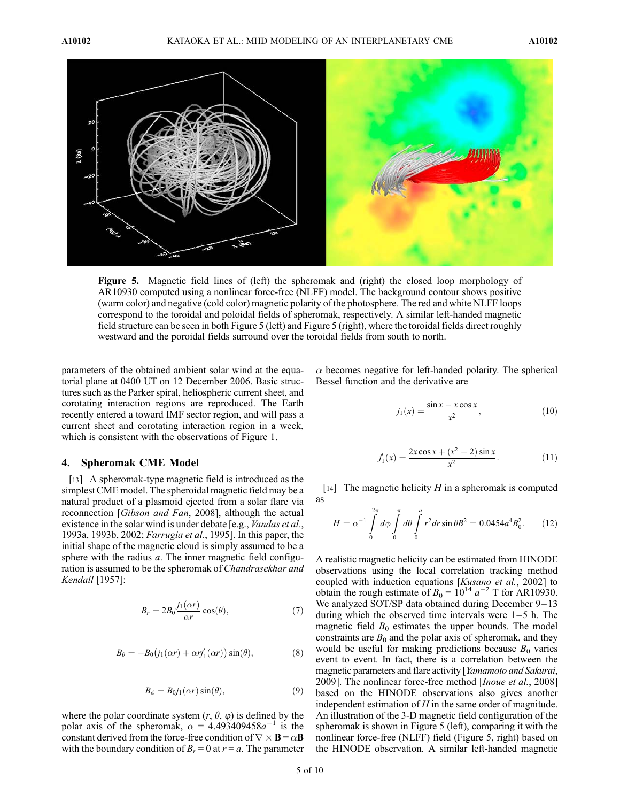![](_page_4_Figure_3.jpeg)

Figure 5. Magnetic field lines of (left) the spheromak and (right) the closed loop morphology of AR10930 computed using a nonlinear force-free (NLFF) model. The background contour shows positive (warm color) and negative (cold color) magnetic polarity of the photosphere. The red and white NLFF loops correspond to the toroidal and poloidal fields of spheromak, respectively. A similar left-handed magnetic field structure can be seen in both Figure 5 (left) and Figure 5 (right), where the toroidal fields direct roughly westward and the poroidal fields surround over the toroidal fields from south to north.

parameters of the obtained ambient solar wind at the equatorial plane at 0400 UT on 12 December 2006. Basic structures such as the Parker spiral, heliospheric current sheet, and corotating interaction regions are reproduced. The Earth recently entered a toward IMF sector region, and will pass a current sheet and corotating interaction region in a week, which is consistent with the observations of Figure 1.

### 4. Spheromak CME Model

[13] A spheromak-type magnetic field is introduced as the simplest CME model. The spheroidal magnetic field may be a natural product of a plasmoid ejected from a solar flare via reconnection [Gibson and Fan, 2008], although the actual existence in the solar wind is under debate [e.g., *Vandas et al.*, 1993a, 1993b, 2002; Farrugia et al., 1995]. In this paper, the initial shape of the magnetic cloud is simply assumed to be a sphere with the radius  $a$ . The inner magnetic field configuration is assumed to be the spheromak of *Chandrasekhar and* Kendall [1957]:

$$
B_r = 2B_0 \frac{j_1(\alpha r)}{\alpha r} \cos(\theta),\tag{7}
$$

$$
B_{\theta} = -B_0 \big(j_1(\alpha r) + \alpha r j_1'(\alpha r)\big) \sin(\theta),\tag{8}
$$

$$
B_{\phi} = B_0 j_1(\alpha r) \sin(\theta),\tag{9}
$$

where the polar coordinate system  $(r, \theta, \varphi)$  is defined by the polar axis of the spheromak,  $\alpha = 4.493409458a^{-1}$  is the constant derived from the force-free condition of  $\nabla \times \mathbf{B} = \alpha \mathbf{B}$ with the boundary condition of  $B_r = 0$  at  $r = a$ . The parameter

 $\alpha$  becomes negative for left-handed polarity. The spherical Bessel function and the derivative are

$$
j_1(x) = \frac{\sin x - x \cos x}{x^2},
$$
 (10)

$$
j_1'(x) = \frac{2x\cos x + (x^2 - 2)\sin x}{x^2}.
$$
 (11)

[14] The magnetic helicity  $H$  in a spheromak is computed as

$$
H = \alpha^{-1} \int_{0}^{2\pi} d\phi \int_{0}^{\pi} d\theta \int_{0}^{a} r^{2} dr \sin \theta B^{2} = 0.0454 a^{4} B_{0}^{2}.
$$
 (12)

A realistic magnetic helicity can be estimated from HINODE observations using the local correlation tracking method coupled with induction equations [Kusano et al., 2002] to obtain the rough estimate of  $B_0 = 10^{14} a^{-2}$  T for AR10930. We analyzed SOT/SP data obtained during December 9-13 during which the observed time intervals were  $1-5$  h. The magnetic field  $B_0$  estimates the upper bounds. The model constraints are  $B_0$  and the polar axis of spheromak, and they would be useful for making predictions because  $B_0$  varies event to event. In fact, there is a correlation between the magnetic parameters and flare activity [*Yamamoto and Sakurai*, 2009]. The nonlinear force-free method [*Inoue et al.*, 2008] based on the HINODE observations also gives another independent estimation of  $H$  in the same order of magnitude. An illustration of the 3-D magnetic field configuration of the spheromak is shown in Figure 5 (left), comparing it with the nonlinear force-free (NLFF) field (Figure 5, right) based on the HINODE observation. A similar left-handed magnetic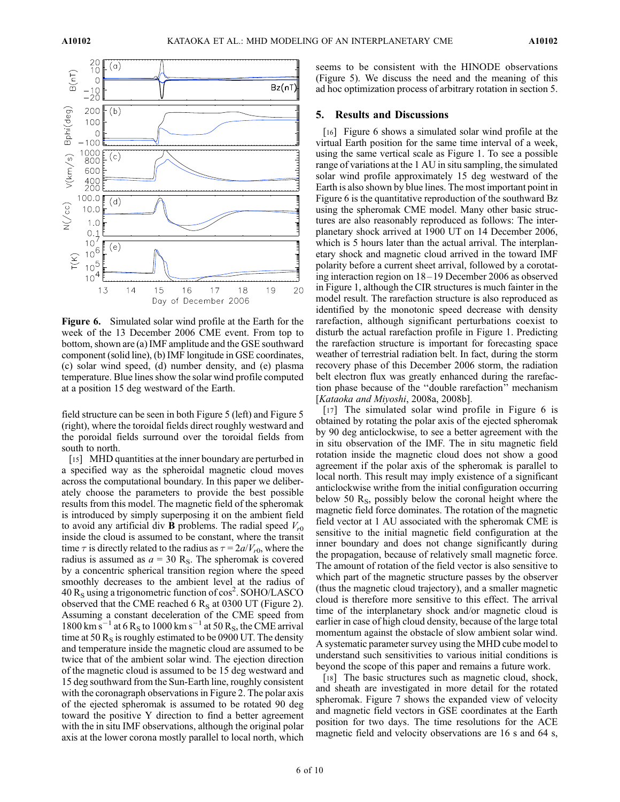![](_page_5_Figure_3.jpeg)

Figure 6. Simulated solar wind profile at the Earth for the week of the 13 December 2006 CME event. From top to bottom, shown are (a) IMF amplitude and the GSE southward component (solid line), (b) IMF longitude in GSE coordinates, (c) solar wind speed, (d) number density, and (e) plasma temperature. Blue lines show the solar wind profile computed at a position 15 deg westward of the Earth.

field structure can be seen in both Figure 5 (left) and Figure 5 (right), where the toroidal fields direct roughly westward and the poroidal fields surround over the toroidal fields from south to north.

[15] MHD quantities at the inner boundary are perturbed in a specified way as the spheroidal magnetic cloud moves across the computational boundary. In this paper we deliberately choose the parameters to provide the best possible results from this model. The magnetic field of the spheromak is introduced by simply superposing it on the ambient field to avoid any artificial div **B** problems. The radial speed  $V_{r0}$ inside the cloud is assumed to be constant, where the transit time  $\tau$  is directly related to the radius as  $\tau = 2a/V_{r0}$ , where the radius is assumed as  $a = 30$  R<sub>S</sub>. The spheromak is covered by a concentric spherical transition region where the speed smoothly decreases to the ambient level at the radius of  $40 R<sub>S</sub>$  using a trigonometric function of cos<sup>2</sup>. SOHO/LASCO observed that the CME reached 6  $R<sub>S</sub>$  at 0300 UT (Figure 2). Assuming a constant deceleration of the CME speed from 1800 km s<sup>-1</sup> at 6 R<sub>S</sub> to 1000 km s<sup>-1</sup> at 50 R<sub>S</sub>, the CME arrival time at 50  $R<sub>S</sub>$  is roughly estimated to be 0900 UT. The density and temperature inside the magnetic cloud are assumed to be twice that of the ambient solar wind. The ejection direction of the magnetic cloud is assumed to be 15 deg westward and 15 deg southward from the Sun-Earth line, roughly consistent with the coronagraph observations in Figure 2. The polar axis of the ejected spheromak is assumed to be rotated 90 deg toward the positive Y direction to find a better agreement with the in situ IMF observations, although the original polar axis at the lower corona mostly parallel to local north, which

seems to be consistent with the HINODE observations (Figure 5). We discuss the need and the meaning of this ad hoc optimization process of arbitrary rotation in section 5.

#### 5. Results and Discussions

[16] Figure 6 shows a simulated solar wind profile at the virtual Earth position for the same time interval of a week, using the same vertical scale as Figure 1. To see a possible range of variations at the 1 AU in situ sampling, the simulated solar wind profile approximately 15 deg westward of the Earth is also shown by blue lines. The most important point in Figure 6 is the quantitative reproduction of the southward Bz using the spheromak CME model. Many other basic structures are also reasonably reproduced as follows: The interplanetary shock arrived at 1900 UT on 14 December 2006, which is 5 hours later than the actual arrival. The interplanetary shock and magnetic cloud arrived in the toward IMF polarity before a current sheet arrival, followed by a corotating interaction region on 18– 19 December 2006 as observed in Figure 1, although the CIR structures is much fainter in the model result. The rarefaction structure is also reproduced as identified by the monotonic speed decrease with density rarefaction, although significant perturbations coexist to disturb the actual rarefaction profile in Figure 1. Predicting the rarefaction structure is important for forecasting space weather of terrestrial radiation belt. In fact, during the storm recovery phase of this December 2006 storm, the radiation belt electron flux was greatly enhanced during the rarefaction phase because of the ''double rarefaction'' mechanism [Kataoka and Miyoshi, 2008a, 2008b].

[17] The simulated solar wind profile in Figure 6 is obtained by rotating the polar axis of the ejected spheromak by 90 deg anticlockwise, to see a better agreement with the in situ observation of the IMF. The in situ magnetic field rotation inside the magnetic cloud does not show a good agreement if the polar axis of the spheromak is parallel to local north. This result may imply existence of a significant anticlockwise writhe from the initial configuration occurring below 50  $R_s$ , possibly below the coronal height where the magnetic field force dominates. The rotation of the magnetic field vector at 1 AU associated with the spheromak CME is sensitive to the initial magnetic field configuration at the inner boundary and does not change significantly during the propagation, because of relatively small magnetic force. The amount of rotation of the field vector is also sensitive to which part of the magnetic structure passes by the observer (thus the magnetic cloud trajectory), and a smaller magnetic cloud is therefore more sensitive to this effect. The arrival time of the interplanetary shock and/or magnetic cloud is earlier in case of high cloud density, because of the large total momentum against the obstacle of slow ambient solar wind. A systematic parameter survey using the MHD cube model to understand such sensitivities to various initial conditions is beyond the scope of this paper and remains a future work.

[18] The basic structures such as magnetic cloud, shock, and sheath are investigated in more detail for the rotated spheromak. Figure 7 shows the expanded view of velocity and magnetic field vectors in GSE coordinates at the Earth position for two days. The time resolutions for the ACE magnetic field and velocity observations are 16 s and 64 s,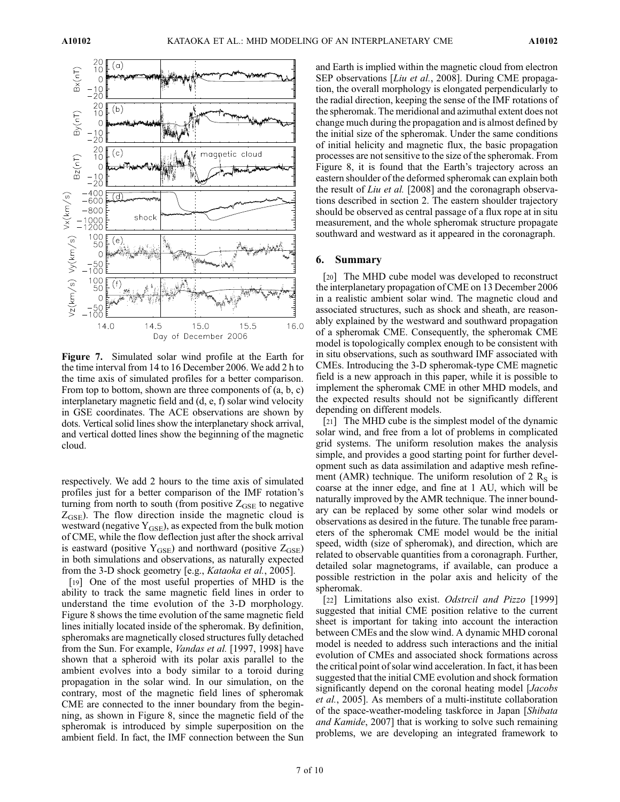![](_page_6_Figure_3.jpeg)

Figure 7. Simulated solar wind profile at the Earth for the time interval from 14 to 16 December 2006. We add 2 h to the time axis of simulated profiles for a better comparison. From top to bottom, shown are three components of (a, b, c) interplanetary magnetic field and (d, e, f) solar wind velocity in GSE coordinates. The ACE observations are shown by dots. Vertical solid lines show the interplanetary shock arrival, and vertical dotted lines show the beginning of the magnetic cloud.

respectively. We add 2 hours to the time axis of simulated profiles just for a better comparison of the IMF rotation's turning from north to south (from positive  $Z_{GSE}$  to negative  $Z<sub>GSE</sub>$ ). The flow direction inside the magnetic cloud is westward (negative  $Y_{GSE}$ ), as expected from the bulk motion of CME, while the flow deflection just after the shock arrival is eastward (positive  $Y_{GSE}$ ) and northward (positive  $Z_{GSE}$ ) in both simulations and observations, as naturally expected from the 3-D shock geometry [e.g., Kataoka et al., 2005].

[19] One of the most useful properties of MHD is the ability to track the same magnetic field lines in order to understand the time evolution of the 3-D morphology. Figure 8 shows the time evolution of the same magnetic field lines initially located inside of the spheromak. By definition, spheromaks are magnetically closed structures fully detached from the Sun. For example, Vandas et al. [1997, 1998] have shown that a spheroid with its polar axis parallel to the ambient evolves into a body similar to a toroid during propagation in the solar wind. In our simulation, on the contrary, most of the magnetic field lines of spheromak CME are connected to the inner boundary from the beginning, as shown in Figure 8, since the magnetic field of the spheromak is introduced by simple superposition on the ambient field. In fact, the IMF connection between the Sun

and Earth is implied within the magnetic cloud from electron SEP observations [Liu et al., 2008]. During CME propagation, the overall morphology is elongated perpendicularly to the radial direction, keeping the sense of the IMF rotations of the spheromak. The meridional and azimuthal extent does not change much during the propagation and is almost defined by the initial size of the spheromak. Under the same conditions of initial helicity and magnetic flux, the basic propagation processes are not sensitive to the size of the spheromak. From Figure 8, it is found that the Earth's trajectory across an eastern shoulder of the deformed spheromak can explain both the result of *Liu et al.* [2008] and the coronagraph observations described in section 2. The eastern shoulder trajectory should be observed as central passage of a flux rope at in situ measurement, and the whole spheromak structure propagate southward and westward as it appeared in the coronagraph.

#### 6. Summary

[20] The MHD cube model was developed to reconstruct the interplanetary propagation of CME on 13 December 2006 in a realistic ambient solar wind. The magnetic cloud and associated structures, such as shock and sheath, are reasonably explained by the westward and southward propagation of a spheromak CME. Consequently, the spheromak CME model is topologically complex enough to be consistent with in situ observations, such as southward IMF associated with CMEs. Introducing the 3-D spheromak-type CME magnetic field is a new approach in this paper, while it is possible to implement the spheromak CME in other MHD models, and the expected results should not be significantly different depending on different models.

[21] The MHD cube is the simplest model of the dynamic solar wind, and free from a lot of problems in complicated grid systems. The uniform resolution makes the analysis simple, and provides a good starting point for further development such as data assimilation and adaptive mesh refinement (AMR) technique. The uniform resolution of 2  $R<sub>S</sub>$  is coarse at the inner edge, and fine at 1 AU, which will be naturally improved by the AMR technique. The inner boundary can be replaced by some other solar wind models or observations as desired in the future. The tunable free parameters of the spheromak CME model would be the initial speed, width (size of spheromak), and direction, which are related to observable quantities from a coronagraph. Further, detailed solar magnetograms, if available, can produce a possible restriction in the polar axis and helicity of the spheromak.

[22] Limitations also exist. Odstrcil and Pizzo [1999] suggested that initial CME position relative to the current sheet is important for taking into account the interaction between CMEs and the slow wind. A dynamic MHD coronal model is needed to address such interactions and the initial evolution of CMEs and associated shock formations across the critical point of solar wind acceleration. In fact, it has been suggested that the initial CME evolution and shock formation significantly depend on the coronal heating model [*Jacobs*] et al., 2005]. As members of a multi-institute collaboration of the space-weather-modeling taskforce in Japan [Shibata] and Kamide, 2007] that is working to solve such remaining problems, we are developing an integrated framework to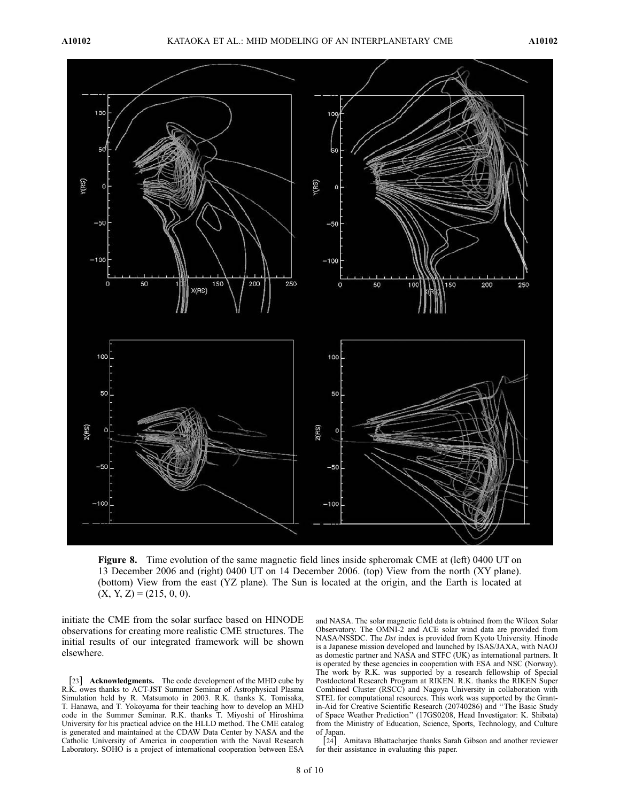![](_page_7_Figure_3.jpeg)

Figure 8. Time evolution of the same magnetic field lines inside spheromak CME at (left) 0400 UT on 13 December 2006 and (right) 0400 UT on 14 December 2006. (top) View from the north (XY plane). (bottom) View from the east (YZ plane). The Sun is located at the origin, and the Earth is located at  $(X, Y, Z) = (215, 0, 0).$ 

initiate the CME from the solar surface based on HINODE observations for creating more realistic CME structures. The initial results of our integrated framework will be shown elsewhere.

[23] **Acknowledgments.** The code development of the MHD cube by R.K. owes thanks to ACT-JST Summer Seminar of Astrophysical Plasma Simulation held by R. Matsumoto in 2003. R.K. thanks K. Tomisaka, T. Hanawa, and T. Yokoyama for their teaching how to develop an MHD code in the Summer Seminar. R.K. thanks T. Miyoshi of Hiroshima University for his practical advice on the HLLD method. The CME catalog is generated and maintained at the CDAW Data Center by NASA and the Catholic University of America in cooperation with the Naval Research Laboratory. SOHO is a project of international cooperation between ESA

and NASA. The solar magnetic field data is obtained from the Wilcox Solar Observatory. The OMNI-2 and ACE solar wind data are provided from NASA/NSSDC. The Dst index is provided from Kyoto University. Hinode is a Japanese mission developed and launched by ISAS/JAXA, with NAOJ as domestic partner and NASA and STFC (UK) as international partners. It is operated by these agencies in cooperation with ESA and NSC (Norway). The work by R.K. was supported by a research fellowship of Special Postdoctoral Research Program at RIKEN. R.K. thanks the RIKEN Super Combined Cluster (RSCC) and Nagoya University in collaboration with STEL for computational resources. This work was supported by the Grantin-Aid for Creative Scientific Research (20740286) and ''The Basic Study of Space Weather Prediction'' (17GS0208, Head Investigator: K. Shibata) from the Ministry of Education, Science, Sports, Technology, and Culture of Japan.

[24] Amitava Bhattacharjee thanks Sarah Gibson and another reviewer for their assistance in evaluating this paper.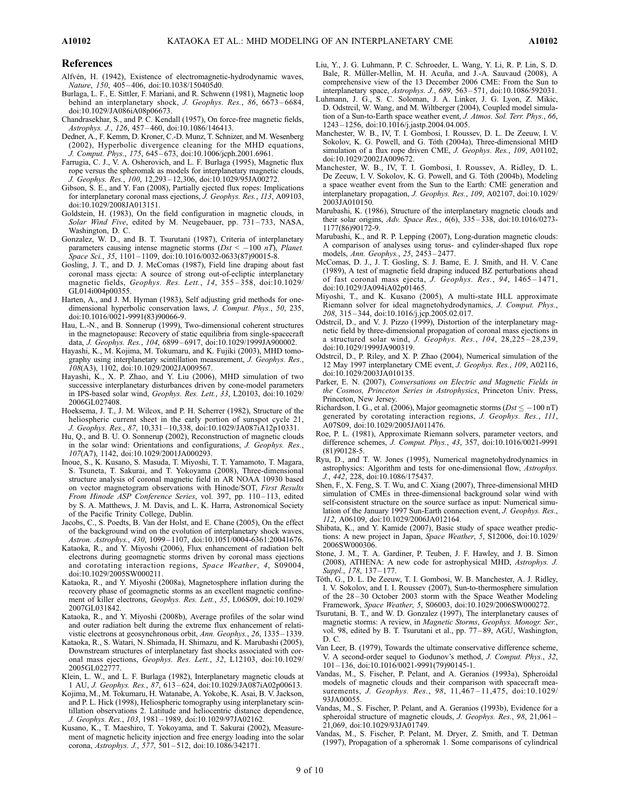#### References

- Alfvén, H. (1942), Existence of electromagnetic-hydrodynamic waves, Nature, 150, 405-406, doi:10.1038/150405d0.
- Burlaga, L. F., E. Sittler, F. Mariani, and R. Schwenn (1981), Magnetic loop behind an interplanetary shock, J. Geophys. Res., 86, 6673-6684, doi:10.1029/JA086iA08p06673.
- Chandrasekhar, S., and P. C. Kendall (1957), On force-free magnetic fields, Astrophys. J., 126, 457 – 460, doi:10.1086/146413.
- Dedner, A., F. Kemm, D. Kroner, C.-D. Munz, T. Schnizer, and M. Wesenberg (2002), Hyperbolic divergence cleaning for the MHD equations, J. Comput. Phys., 175, 645 – 673, doi:10.1006/jcph.2001.6961.
- Farrugia, C. J., V. A. Osherovich, and L. F. Burlaga (1995), Magnetic flux rope versus the spheromak as models for interplanetary magnetic clouds, J. Geophys. Res., 100, 12,293 – 12,306, doi:10.1029/95JA00272.
- Gibson, S. E., and Y. Fan (2008), Partially ejected flux ropes: Implications for interplanetary coronal mass ejections, J. Geophys. Res., 113, A09103, doi:10.1029/2008JA013151.
- Goldstein, H. (1983), On the field configuration in magnetic clouds, in Solar Wind Five, edited by M. Neugebauer, pp. 731-733, NASA, Washington, D. C.
- Gonzalez, W. D., and B. T. Tsurutani (1987), Criteria of interplanetary parameters causing intense magnetic storms  $(Dst < -100 nT)$ , Planet. Space Sci., 35, 1101-1109, doi:10.1016/0032-0633(87)90015-8.
- Gosling, J. T., and D. J. McComas (1987), Field line draping about fast coronal mass ejecta: A source of strong out-of-ecliptic interplanetary magnetic fields, Geophys. Res. Lett., 14, 355-358, doi:10.1029/ GL014i004p00355.
- Harten, A., and J. M. Hyman (1983), Self adjusting grid methods for onedimensional hyperbolic conservation laws, J. Comput. Phys., 50, 235, doi:10.1016/0021-9991(83)90066-9.
- Hau, L.-N., and B. Sonnerup (1999), Two-dimensional coherent structures in the magnetopause: Recovery of static equilibria from single-spacecraft data, *J. Geophys. Res., 104, 6899-6917, doi:10.1029*/1999JA900002.
- Hayashi, K., M. Kojima, M. Tokumaru, and K. Fujiki (2003), MHD tomography using interplanetary scintillation measurement, J. Geophys. Res., 108(A3), 1102, doi:10.1029/2002JA009567.
- Hayashi, K., X. P. Zhao, and Y. Liu (2006), MHD simulation of two successive interplanetary disturbances driven by cone-model parameters in IPS-based solar wind, Geophys. Res. Lett., 33, L20103, doi:10.1029/ 2006GL027408.
- Hoeksema, J. T., J. M. Wilcox, and P. H. Scherrer (1982), Structure of the heliospheric current sheet in the early portion of sunspot cycle 21, J. Geophys. Res., 87, 10,331 – 10,338, doi:10.1029/JA087iA12p10331.
- Hu, Q., and B. U. O. Sonnerup (2002), Reconstruction of magnetic clouds in the solar wind: Orientations and configurations, J. Geophys. Res., 107(A7), 1142, doi:10.1029/2001JA000293.
- Inoue, S., K. Kusano, S. Masuda, T. Miyoshi, T. T. Yamamoto, T. Magara, S. Tsuneta, T. Sakurai, and T. Yokoyama (2008), Three-dimensional structure analysis of coronal magnetic field in AR NOAA 10930 based on vector magnetogram observations with Hinode/SOT, First Results From Hinode ASP Conference Series, vol. 397, pp. 110-113, edited by S. A. Matthews, J. M. Davis, and L. K. Harra, Astronomical Society of the Pacific Trinity College, Dublin.
- Jacobs, C., S. Poedts, B. Van der Holst, and E. Chane (2005), On the effect of the background wind on the evolution of interplanetary shock waves, Astron. Astrophys., 430, 1099 – 1107, doi:10.1051/0004-6361:20041676.
- Kataoka, R., and Y. Miyoshi (2006), Flux enhancement of radiation belt electrons during geomagnetic storms driven by coronal mass ejections and corotating interaction regions, Space Weather, 4, S09004, doi:10.1029/2005SW000211.
- Kataoka, R., and Y. Miyoshi (2008a), Magnetosphere inflation during the recovery phase of geomagnetic storms as an excellent magnetic confinement of killer electrons, Geophys. Res. Lett., 35, L06S09, doi:10.1029/ 2007GL031842.
- Kataoka, R., and Y. Miyoshi (2008b), Average profiles of the solar wind and outer radiation belt during the extreme flux enhancement of relativistic electrons at geosynchronous orbit, Ann. Geophys., 26, 1335 – 1339.
- Kataoka, R., S. Watari, N. Shimada, H. Shimazu, and K. Marubashi (2005), Downstream structures of interplanetary fast shocks associated with coronal mass ejections, Geophys. Res. Lett., 32, L12103, doi:10.1029/ 2005GL022777.
- Klein, L. W., and L. F. Burlaga (1982), Interplanetary magnetic clouds at 1 AU, J. Geophys. Res., 87, 613 – 624, doi:10.1029/JA087iA02p00613.
- Kojima, M., M. Tokumaru, H. Watanabe, A. Yokobe, K. Asai, B. V. Jackson, and P. L. Hick (1998), Heliospheric tomography using interplanetary scintillation observations 2. Latitude and heliocentric distance dependence, J. Geophys. Res., 103, 1981 – 1989, doi:10.1029/97JA02162.
- Kusano, K., T. Maeshiro, T. Yokoyama, and T. Sakurai (2002), Measurement of magnetic helicity injection and free energy loading into the solar corona, Astrophys. J., 577, 501 – 512, doi:10.1086/342171.
- Liu, Y., J. G. Luhmann, P. C. Schroeder, L. Wang, Y. Li, R. P. Lin, S. D. Bale, R. Müller-Mellin, M. H. Acuña, and J.-A. Sauvaud (2008), A comprehensive view of the 13 December 2006 CME: From the Sun to interplanetary space, Astrophys. J., 689, 563 – 571, doi:10.1086/592031.
- Luhmann, J. G., S. C. Soloman, J. A. Linker, J. G. Lyon, Z. Mikic, D. Odstrcil, W. Wang, and M. Wiltberger (2004), Coupled model simulation of a Sun-to-Earth space weather event, J. Atmos. Sol. Terr. Phys., 66, 1243 – 1256, doi:10.1016/j.jastp.2004.04.005.
- Manchester, W. B., IV, T. I. Gombosi, I. Roussev, D. L. De Zeeuw, I. V. Sokolov, K. G. Powell, and G. Tóth (2004a), Three-dimensional MHD simulation of a flux rope driven CME, J. Geophys. Res., 109, A01102, doi:10.1029/2002JA009672.
- Manchester, W. B., IV, T. I. Gombosi, I. Roussev, A. Ridley, D. L. De Zeeuw, I. V. Sokolov, K. G. Powell, and G. Tóth (2004b), Modeling a space weather event from the Sun to the Earth: CME generation and interplanetary propagation, J. Geophys. Res., 109, A02107, doi:10.1029/ 2003JA010150.
- Marubashi, K. (1986), Structure of the interplanetary magnetic clouds and their solar origins, Adv. Space Res., 6(6), 335 – 338, doi:10.1016/0273- 1177(86)90172-9.
- Marubashi, K., and R. P. Lepping (2007), Long-duration magnetic clouds: A comparison of analyses using torus- and cylinder-shaped flux rope models, Ann. Geophys., 25, 2453 – 2477.
- McComas, D. J., J. T. Gosling, S. J. Bame, E. J. Smith, and H. V. Cane (1989), A test of magnetic field draping induced BZ perturbations ahead of fast coronal mass ejecta, J. Geophys. Res., 94, 1465 – 1471, doi:10.1029/JA094iA02p01465.
- Miyoshi, T., and K. Kusano (2005), A multi-state HLL approximate Riemann solver for ideal magnetohydrodynamics, J. Comput. Phys., 208, 315 – 344, doi:10.1016/j.jcp.2005.02.017.
- Odstrcil, D., and V. J. Pizzo (1999), Distortion of the interplanetary magnetic field by three-dimensional propagation of coronal mass ejections in a structured solar wind, J. Geophys. Res.,  $104$ ,  $28,225 - 28,239$ , doi:10.1029/1999JA900319.
- Odstrcil, D., P. Riley, and X. P. Zhao (2004), Numerical simulation of the 12 May 1997 interplanetary CME event, J. Geophys. Res., 109, A02116, doi:10.1029/2003JA010135.
- Parker, E. N. (2007), Conversations on Electric and Magnetic Fields in the Cosmos, Princeton Series in Astrophysics, Princeton Univ. Press, Princeton, New Jersey.
- Richardson, I. G., et al. (2006), Major geomagnetic storms ( $Dst \le -100$  nT) generated by corotating interaction regions, J. Geophys. Res., 111, A07S09, doi:10.1029/2005JA011476.
- Roe, P. L. (1981), Approximate Riemann solvers, parameter vectors, and difference schemes, J. Comput. Phys., 43, 357, doi:10.1016/0021-9991 (81)90128-5.
- Ryu, D., and T. W. Jones (1995), Numerical magnetohydrodynamics in astrophysics: Algorithm and tests for one-dimensional flow, Astrophys. J., 442, 228, doi:10.1086/175437.
- Shen, F., X. Feng, S. T. Wu, and C. Xiang (2007), Three-dimensional MHD simulation of CMEs in three-dimensional background solar wind with self-consistent structure on the source surface as input: Numerical simulation of the January 1997 Sun-Earth connection event, J. Geophys. Res., 112, A06109, doi:10.1029/2006JA012164.
- Shibata, K., and Y. Kamide (2007), Basic study of space weather predictions: A new project in Japan, Space Weather, 5, S12006, doi:10.1029/ 2006SW000306.
- Stone, J. M., T. A. Gardiner, P. Teuben, J. F. Hawley, and J. B. Simon (2008), ATHENA: A new code for astrophysical MHD, Astrophys. J. Suppl., 178, 137-177.
- Tóth, G., D. L. De Zeeuw, T. I. Gombosi, W. B. Manchester, A. J. Ridley, I. V. Sokolov, and I. I. Roussev (2007), Sun-to-thermosphere simulation of the 28 – 30 October 2003 storm with the Space Weather Modeling Framework, Space Weather, 5, S06003, doi:10.1029/2006SW000272.
- Tsurutani, B. T., and W. D. Gonzalez (1997), The interplanetary causes of magnetic storms: A review, in Magnetic Storms, Geophys. Monogr. Ser., vol. 98, edited by B. T. Tsurutani et al., pp. 77-89, AGU, Washington, D. C.
- Van Leer, B. (1979), Towards the ultimate conservative difference scheme, V. A second-order sequel to Godunov's method, J. Comput. Phys., 32, 101 – 136, doi:10.1016/0021-9991(79)90145-1.
- Vandas, M., S. Fischer, P. Pelant, and A. Geranios (1993a), Spheroidal models of magnetic clouds and their comparison with spacecraft measurements, J. Geophys. Res., 98, 11,467-11,475, doi:10.1029/ 93JA00055.
- Vandas, M., S. Fischer, P. Pelant, and A. Geranios (1993b), Evidence for a spheroidal structure of magnetic clouds, J. Geophys. Res., 98, 21,061-21,069, doi:10.1029/93JA01749.
- Vandas, M., S. Fischer, P. Pelant, M. Dryer, Z. Smith, and T. Detman (1997), Propagation of a spheromak 1. Some comparisons of cylindrical